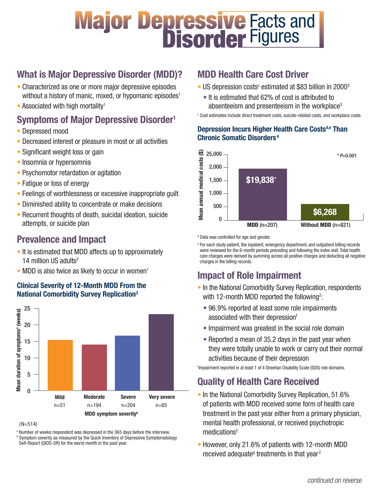# **Major Depressive Facts and<br>Disorder Figures Figures**

# What is Major Depressive Disorder (MDD)?

- Characterized as one or more major depressive episodes without a history of manic, mixed, or hypomanic episodes<sup>1</sup>
- $\bullet$  Associated with high mortality<sup>1</sup>

## Symptoms of Major Depressive Disorder<sup>1</sup>

- Depressed mood
- Decreased interest or pleasure in most or all activities
- Significant weight loss or gain
- Insomnia or hypersomnia
- Psychomotor retardation or agitation
- Fatigue or loss of energy
- Feelings of worthlessness or excessive inappropriate guilt
- Diminished ability to concentrate or make decisions
- Recurrent thoughts of death, suicidal ideation, suicide attempts, or suicide plan

## Prevalence and Impact

- It is estimated that MDD affects up to approximately 14 million US adults<sup>2</sup>
- MDD is also twice as likely to occur in women<sup>1</sup>

#### Clinical Severity of 12-Month MDD From the National Comorbidity Survey Replication2



(N=514)

<sup>a</sup> Number of weeks respondent was depressed in the 365 days before the interview. **b Symptom severity as measured by the Quick Inventory of Depressive Symptomatology** Self-Report (QIDS-SR) for the worst month in the past year.

## MDD Health Care Cost Driver

- US depression costs<sup>c</sup> estimated at \$83 billion in 2000<sup>3</sup>
	- It is estimated that 62% of cost is attributed to absenteeism and presenteeism in the workplace<sup>3</sup>

<sup>c</sup> Cost estimates include direct treatment costs, suicide-related costs, and workplace costs.

#### Depression Incurs Higher Health Care Costs<sup>d,e</sup> Than Chronic Somatic Disorders <sup>4</sup>



<sup>d</sup> Data was controlled for age and gender.

<sup>e</sup> For each study patient, the inpatient, emergency department, and outpatient billing records were reviewed for the 6-month periods preceding and following the index visit. Total health care charges were derived by summing across all positive charges and deducting all negative charges in the billing records.

# Impact of Role Impairment

- In the National Comorbidity Survey Replication, respondents with 12-month MDD reported the following<sup>2</sup>:
	- 96.9% reported at least some role impairments associated with their depressionf
	- Impairment was greatest in the social role domain
	- Reported a mean of 35.2 days in the past year when they were totally unable to work or carry out their normal activities because of their depression

Impairment reported in at least 1 of 4 Sheehan Disability Scale (SDS) role domains.

## Quality of Health Care Received

- In the National Comorbidity Survey Replication, 51.6% of patients with MDD received some form of health care treatment in the past year either from a primary physician, mental health professional, or received psychotropic medications<sup>2</sup>
- However, only 21.6% of patients with 12-month MDD received adequate<sup>®</sup> treatments in that year<sup>2</sup>